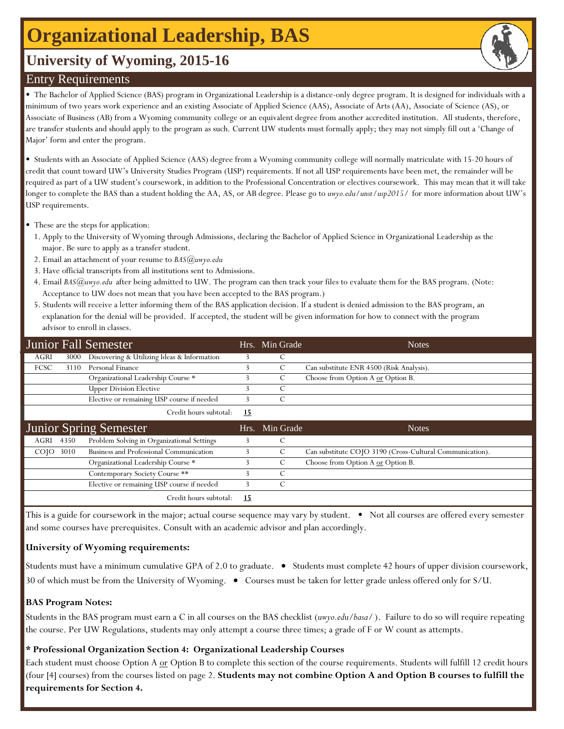## **Organizational Leadership, BAS**

## **University of Wyoming, 2015-16**

#### Entry Requirements

• The Bachelor of Applied Science (BAS) program in Organizational Leadership is a distance-only degree program. It is designed for individuals with a minimum of two years work experience and an existing Associate of Applied Science (AAS), Associate of Arts (AA), Associate of Science (AS), or Associate of Business (AB) from a Wyoming community college or an equivalent degree from another accredited institution. All students, therefore, are transfer students and should apply to the program as such. Current UW students must formally apply; they may not simply fill out a 'Change of Major' form and enter the program.

• Students with an Associate of Applied Science (AAS) degree from a Wyoming community college will normally matriculate with 15-20 hours of credit that count toward UW's University Studies Program (USP) requirements. If not all USP requirements have been met, the remainder will be required as part of a UW student's coursework, in addition to the Professional Concentration or electives coursework. This may mean that it will take longer to complete the BAS than a student holding the AA, AS, or AB degree. Please go to *uwyo.edu/unst/usp2015/* for more information about UW's USP requirements.

- These are the steps for application:
- 1. Apply to the University of Wyoming through Admissions, declaring the Bachelor of Applied Science in Organizational Leadership as the major. Be sure to apply as a transfer student.
- 2. Email an attachment of your resume to *BAS@uwyo.edu*
- 3. Have official transcripts from all institutions sent to Admissions.
- 4. Email *BAS@uwyo.edu* after being admitted to UW. The program can then track your files to evaluate them for the BAS program. (Note: Acceptance to UW does not mean that you have been accepted to the BAS program.)
- 5. Students will receive a letter informing them of the BAS application decision. If a student is denied admission to the BAS program, an explanation for the denial will be provided. If accepted, the student will be given information for how to connect with the program advisor to enroll in classes.

|                   |      | Junior Fall Semester                        |      | Hrs. Min Grade | <b>Notes</b>                                             |
|-------------------|------|---------------------------------------------|------|----------------|----------------------------------------------------------|
| <b>AGRI</b>       | 3000 | Discovering & Utilizing Ideas & Information |      | С              |                                                          |
| FCSC              | 3110 | Personal Finance                            |      | C              | Can substitute ENR 4500 (Risk Analysis).                 |
|                   |      | Organizational Leadership Course *          |      | C              | Choose from Option A or Option B.                        |
|                   |      | <b>Upper Division Elective</b>              |      | C              |                                                          |
|                   |      | Elective or remaining USP course if needed  |      | C              |                                                          |
|                   |      | Credit hours subtotal:                      | 15   |                |                                                          |
|                   |      |                                             |      |                |                                                          |
|                   |      | <b>Junior Spring Semester</b>               | Hrs. | Min Grade      | <b>Notes</b>                                             |
| AGRI              | 4350 | Problem Solving in Organizational Settings  |      | $\mathcal{C}$  |                                                          |
| CO <sub>1</sub> O | 3010 | Business and Professional Communication     |      | C              | Can substitute COJO 3190 (Cross-Cultural Communication). |
|                   |      | Organizational Leadership Course *          |      | C              | Choose from Option A or Option B.                        |
|                   |      | Contemporary Society Course **              |      | C              |                                                          |
|                   |      | Elective or remaining USP course if needed  |      | C              |                                                          |

This is a guide for coursework in the major; actual course sequence may vary by student. • Not all courses are offered every semester and some courses have prerequisites. Consult with an academic advisor and plan accordingly.

#### **University of Wyoming requirements:**

Students must have a minimum cumulative GPA of 2.0 to graduate.  $\bullet$  Students must complete 42 hours of upper division coursework, 30 of which must be from the University of Wyoming. • Courses must be taken for letter grade unless offered only for S/U.

#### **BAS Program Notes:**

Students in the BAS program must earn a C in all courses on the BAS checklist (*uwyo.edu/basa/* ). Failure to do so will require repeating the course. Per UW Regulations, students may only attempt a course three times; a grade of F or W count as attempts.

#### **\* Professional Organization Section 4: Organizational Leadership Courses**

Each student must choose Option A or Option B to complete this section of the course requirements. Students will fulfill 12 credit hours (four [4] courses) from the courses listed on page 2. **Students may not combine Option A and Option B courses to fulfill the requirements for Section 4.** 

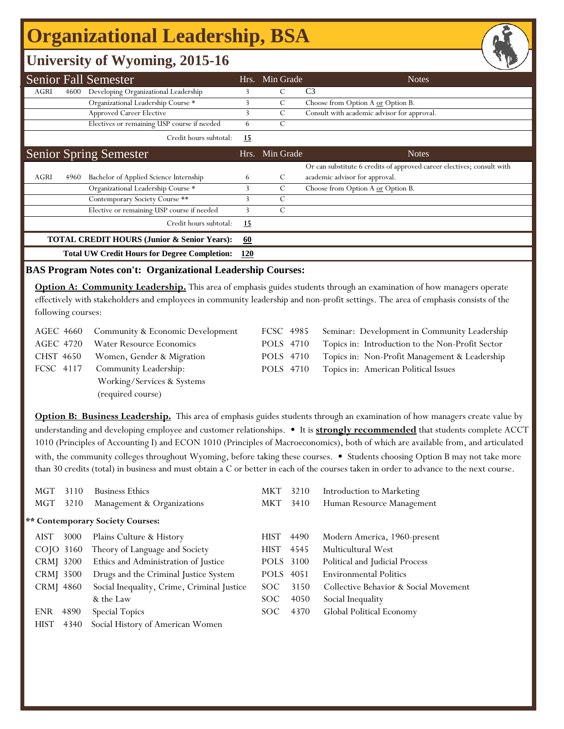# **Organizational Leadership, BSA**

### **University of Wyoming, 2015-16**

|                                                        |      | <b>Senior Fall Semester</b>                         | Hrs.       | Min Grade | <b>Notes</b>                                                           |
|--------------------------------------------------------|------|-----------------------------------------------------|------------|-----------|------------------------------------------------------------------------|
| AGRI                                                   | 4600 | Developing Organizational Leadership                | 3          | С         | C <sub>3</sub>                                                         |
|                                                        |      | Organizational Leadership Course *                  | 3          | С         | Choose from Option A or Option B.                                      |
|                                                        |      | Approved Career Elective                            | 3          | C         | Consult with academic advisor for approval.                            |
|                                                        |      | Electives or remaining USP course if needed         | 6          | С         |                                                                        |
|                                                        |      | Credit hours subtotal:                              | 15         |           |                                                                        |
|                                                        |      | <b>Senior Spring Semester</b>                       | Hrs.       | Min Grade | <b>Notes</b>                                                           |
|                                                        |      |                                                     |            |           | Or can substitute 6 credits of approved career electives; consult with |
| AGRI                                                   | 4960 | Bachelor of Applied Science Internship              | 6          | C         | academic advisor for approval.                                         |
|                                                        |      | Organizational Leadership Course *                  |            | C         | Choose from Option A or Option B.                                      |
|                                                        |      | Contemporary Society Course **                      | 3          | C         |                                                                        |
|                                                        |      | Elective or remaining USP course if needed          | 3          | С         |                                                                        |
|                                                        |      | Credit hours subtotal:                              | 15         |           |                                                                        |
| <b>TOTAL CREDIT HOURS (Junior &amp; Senior Years):</b> |      |                                                     |            |           |                                                                        |
|                                                        |      | <b>Total UW Credit Hours for Degree Completion:</b> | <u>120</u> |           |                                                                        |

#### **BAS Program Notes con't: Organizational Leadership Courses:**

**Option A: Community Leadership.** This area of emphasis guides students through an examination of how managers operate effectively with stakeholders and employees in community leadership and non-profit settings. The area of emphasis consists of the following courses:

|           | AGEC 4660 Community & Economic Development | FCSC 4985 | Seminar: Development in Community Leadership     |
|-----------|--------------------------------------------|-----------|--------------------------------------------------|
| AGEC 4720 | <b>Water Resource Economics</b>            | POLS 4710 | Topics in: Introduction to the Non-Profit Sector |
| CHST 4650 | Women, Gender & Migration                  | POLS 4710 | Topics in: Non-Profit Management & Leadership    |
| FCSC 4117 | Community Leadership:                      | POLS 4710 | Topics in: American Political Issues             |
|           | Working/Services & Systems                 |           |                                                  |
|           | (required course)                          |           |                                                  |

**Option B: Business Leadership.** This area of emphasis guides students through an examination of how managers create value by understanding and developing employee and customer relationships. • It is **strongly recommended** that students complete ACCT 1010 (Principles of Accounting I) and ECON 1010 (Principles of Macroeconomics), both of which are available from, and articulated with, the community colleges throughout Wyoming, before taking these courses. • Students choosing Option B may not take more than 30 credits (total) in business and must obtain a C or better in each of the courses taken in order to advance to the next course.

| MGT         | 3110 | <b>Business Ethics</b>                     | <b>MKT</b>  | 3210 | Introduction to Marketing             |
|-------------|------|--------------------------------------------|-------------|------|---------------------------------------|
| MGT         | 3210 | Management & Organizations                 | MKT         | 3410 | Human Resource Management             |
|             |      | ** Contemporary Society Courses:           |             |      |                                       |
| <b>AIST</b> | 3000 | Plains Culture & History                   | <b>HIST</b> | 4490 | Modern America, 1960-present          |
| COJO 3160   |      | Theory of Language and Society             | <b>HIST</b> | 4545 | Multicultural West                    |
| CRMJ 3200   |      | Ethics and Administration of Justice       | POLS 3100   |      | Political and Judicial Process        |
| CRMJ 3500   |      | Drugs and the Criminal Justice System      | POLS 4051   |      | <b>Environmental Politics</b>         |
| CRMJ 4860   |      | Social Inequality, Crime, Criminal Justice | SOC.        | 3150 | Collective Behavior & Social Movement |
|             |      | & the Law                                  | SOC.        | 4050 | Social Inequality                     |
| <b>ENR</b>  | 4890 | Special Topics                             | SOC.        | 4370 | Global Political Economy              |
| <b>HIST</b> | 4340 | Social History of American Women           |             |      |                                       |